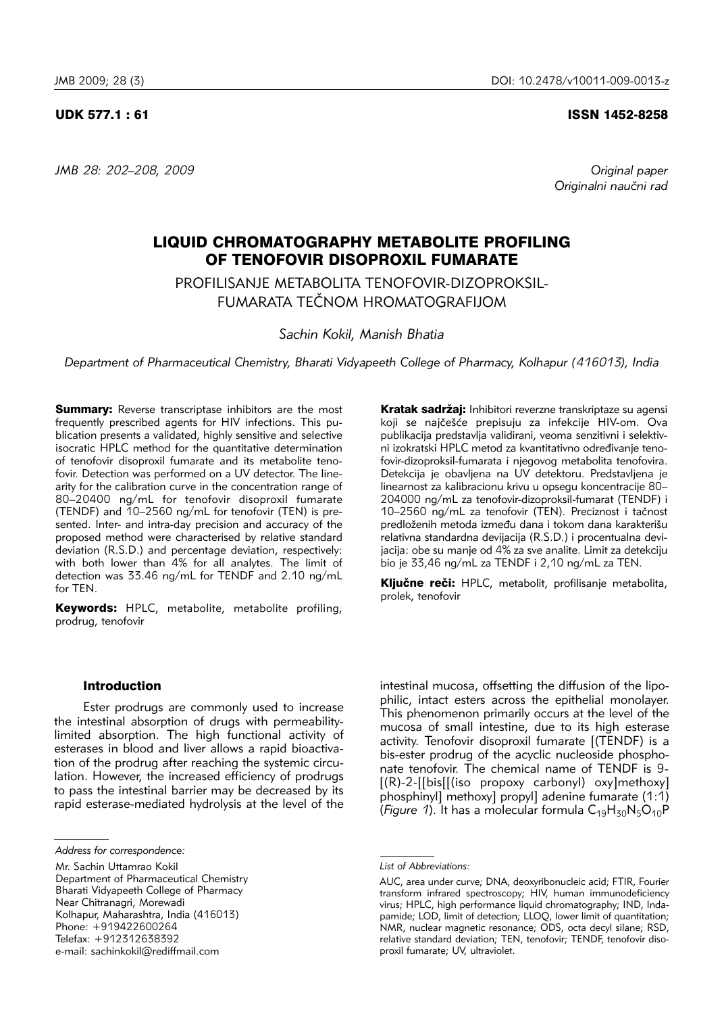#### UDK 577.1 : 61 ISSN 1452-8258

*JMB 28: 202–208, 2009 Original paper*

Originalni naučni rad

## LIQUID CHROMATOGRAPHY METABOLITE PROFILING OF TENOFOVIR DISOPROXIL FUMARATE

# PROFILISANJE METABOLITA TENOFOVIR-DIZOPROKSIL-FUMARATA TEČNOM HROMATOGRAFIJOM

*Sachin Kokil, Manish Bhatia*

*Department of Pharmaceutical Chemistry, Bharati Vidyapeeth College of Pharmacy, Kolhapur (416013), India*

**Summary:** Reverse transcriptase inhibitors are the most frequently prescribed agents for HIV infections. This publication presents a validated, highly sensitive and selective isocratic HPLC method for the quantitative determination of tenofovir disoproxil fumarate and its metabolite teno fovir. Detection was performed on a UV detector. The linearity for the calibration curve in the concentration range of 80–20400 ng/mL for tenofovir disoproxil fumarate (TENDF) and 10–2560 ng/mL for tenofovir (TEN) is pre sented. Inter- and intra-day precision and accuracy of the proposed method were characterised by relative standard deviation (R.S.D.) and percentage deviation, respectively: with both lower than 4% for all analytes. The limit of detection was 33.46 ng/mL for TENDF and 2.10 ng/mL for TEN.

Keywords: HPLC, metabolite, metabolite profiling, prodrug, tenofovir

Kratak sadržaj: Inhibitori reverzne transkriptaze su agensi koji se najčešće prepisuju za infekcije HIV-om. Ova publikacija predstavlja validirani, veoma senzitivni i selektivni izokratski HPLC metod za kvantitativno određivanje tenofovir-dizoproksil-fumarata i njegovog metabolita tenofovira. Detekcija je obavljena na UV detektoru. Predstavljena je linearnost za kalibracionu krivu u opsegu koncentracije 80-204000 ng/mL za tenofovir-dizoproksil-fumarat (TENDF) i 10–2560 ng/mL za tenofovir (TEN). Preciznost i tačnost predloženih metoda između dana i tokom dana karakterišu relativna standardna devijacija (R.S.D.) i procentualna devijacija: obe su manje od 4% za sve analite. Limit za detekciju bio je 33,46 ng/mL za TENDF i 2,10 ng/mL za TEN.

Ključne reči: HPLC, metabolit, profilisanje metabolita, prolek, tenofovir

#### **Introduction**

Ester prodrugs are commonly used to increase the intestinal absorption of drugs with permeabilitylimited absorption. The high functional activity of esterases in blood and liver allows a rapid bioactivation of the prodrug after reaching the systemic circulation. However, the increased efficiency of prodrugs to pass the intestinal barrier may be decreased by its rapid esterase-mediated hydrolysis at the level of the

intestinal mucosa, offsetting the diffusion of the lipophilic, intact esters across the epithelial monolayer. This phenomenon primarily occurs at the level of the mucosa of small intestine, due to its high esterase activity. Tenofovir disoproxil fumarate [(TENDF) is a bis-ester prodrug of the acyclic nucleoside phosphonate tenofovir. The chemical name of TENDF is 9- [(R)-2-[[bis[[(iso propoxy carbonyl) oxy]methoxy] phosphinyl] methoxy] propyl] adenine fumarate (1:1) (*Figure 1*). It has a molecular formula  $C_{19}H_{30}N_5O_{10}P$ 

*Address for correspondence:*

Mr. Sachin Uttamrao Kokil Department of Pharmaceutical Chemistry Bharati Vidyapeeth College of Pharmacy Near Chitranagri, Morewadi Kolhapur, Maharashtra, India (416013) Phone: +919422600264 Telefax: +912312638392 e-mail: sachinkokil@rediffmail.com

*List of Abbreviations:*

AUC, area under curve; DNA, deoxyribonucleic acid; FTIR, Fourier transform infrared spectroscopy; HIV, human immunodeficiency virus; HPLC, high performance liquid chromatography; IND, Indapamide; LOD, limit of detection; LLOQ, lower limit of quantitation; NMR, nuclear magnetic resonance; ODS, octa decyl silane; RSD, relative standard deviation; TEN, tenofovir; TENDF, tenofovir disoproxil fumarate; UV, ultraviolet.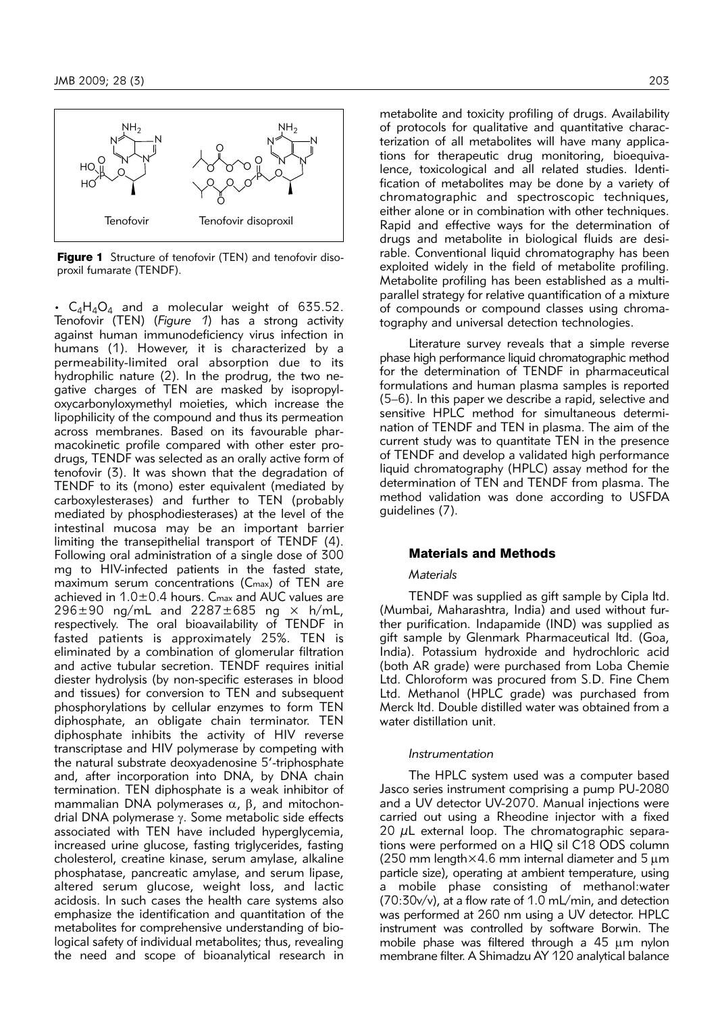

Figure 1 Structure of tenofovir (TEN) and tenofovir disoproxil fumarate (TENDF).

•  $C_4H_4O_4$  and a molecular weight of 635.52. Tenofovir (TEN) (*Figure 1*) has a strong activity against human immunodeficiency virus infection in humans (1). However, it is characterized by a permeability-limited oral absorption due to its hydrophilic nature (2). In the prodrug, the two negative charges of TEN are masked by isopropyloxycarbonyloxymethyl moieties, which increase the lipophilicity of the compound and thus its permeation across membranes. Based on its favourable pharmacokinetic profile compared with other ester prodrugs, TENDF was selected as an orally active form of tenofovir (3). It was shown that the degradation of TENDF to its (mono) ester equivalent (mediated by carboxylesterases) and further to TEN (probably mediated by phosphodiesterases) at the level of the intestinal mucosa may be an important barrier limiting the transepithelial transport of TENDF (4). Following oral administration of a single dose of 300 mg to HIV-infected patients in the fasted state, maximum serum concentrations (Cmax) of TEN are achieved in  $1.0\pm0.4$  hours. Cmax and AUC values are  $296\pm90$  ng/mL and  $2287\pm685$  ng  $\times$  h/mL, respectively. The oral bioavailability of TENDF in fasted patients is approximately 25%. TEN is eliminated by a combination of glomerular filtration and active tubular secretion. TENDF requires initial diester hydrolysis (by non-specific esterases in blood and tissues) for conversion to TEN and subsequent phosphorylations by cellular enzymes to form TEN diphosphate, an obligate chain terminator. TEN diphosphate inhibits the activity of HIV reverse transcriptase and HIV polymerase by competing with the natural substrate deoxyadenosine 5'-triphosphate and, after incorporation into DNA, by DNA chain termination. TEN diphosphate is a weak inhibitor of mammalian DNA polymerases  $\alpha$ ,  $\beta$ , and mitochondrial DNA polymerase  $\gamma$ . Some metabolic side effects associated with TEN have included hyperglycemia, increased urine glucose, fasting triglycerides, fasting cholesterol, creatine kinase, serum amylase, alkaline phosphatase, pancreatic amylase, and serum lipase, altered serum glucose, weight loss, and lactic acidosis. In such cases the health care systems also emphasize the identification and quantitation of the metabolites for comprehensive understanding of biological safety of individual metabolites; thus, revealing the need and scope of bioanalytical research in

metabolite and toxicity profiling of drugs. Availability of protocols for qualitative and quantitative characterization of all metabolites will have many applications for therapeutic drug monitoring, bioequivalence, toxicological and all related studies. Identification of metabolites may be done by a variety of chroma tographic and spectroscopic techniques, either alone or in combination with other techniques. Rapid and effective ways for the determination of drugs and metabolite in biological fluids are desirable. Conventional liquid chromatography has been exploited widely in the field of metabolite profiling. Metabolite profiling has been established as a multiparallel strategy for relative quantification of a mixture of compounds or compound classes using chromatography and universal detection technologies.

Literature survey reveals that a simple reverse phase high performance liquid chromatographic method for the determination of TENDF in pharmaceutical formulations and human plasma samples is reported  $(5-6)$ . In this paper we describe a rapid, selective and sensitive HPLC method for simultaneous determination of TENDF and TEN in plasma. The aim of the current study was to quantitate TEN in the presence of TENDF and develop a validated high performance liquid chromatography (HPLC) assay method for the determination of TEN and TENDF from plasma. The method validation was done according to USFDA guidelines (7).

#### Materials and Methods

#### *Materials*

TENDF was supplied as gift sample by Cipla ltd. (Mumbai, Maharashtra, India) and used without further purification. Indapamide (IND) was supplied as gift sample by Glenmark Pharmaceutical ltd. (Goa, India). Potassium hydroxide and hydrochloric acid (both AR grade) were purchased from Loba Chemie Ltd. Chloroform was procured from S.D. Fine Chem Ltd. Methanol (HPLC grade) was purchased from Merck ltd. Double distilled water was obtained from a water distillation unit.

#### *Instrumentation*

The HPLC system used was a computer based Jasco series instrument comprising a pump PU-2080 and a UV detector UV-2070. Manual injections were carried out using a Rheodine injector with a fixed 20  $\mu$ L external loop. The chromatographic separations were performed on a HIQ sil C18 ODS column (250 mm length $\times$ 4.6 mm internal diameter and 5  $\mu$ m particle size), operating at ambient temperature, using a mobile phase consisting of methanol:water (70:30v/v), at a flow rate of 1.0 mL/min, and detection was performed at 260 nm using a UV detector. HPLC instrument was controlled by software Borwin. The mobile phase was filtered through a  $45 \mu m$  nylon membrane filter. A Shimadzu AY 120 analytical balance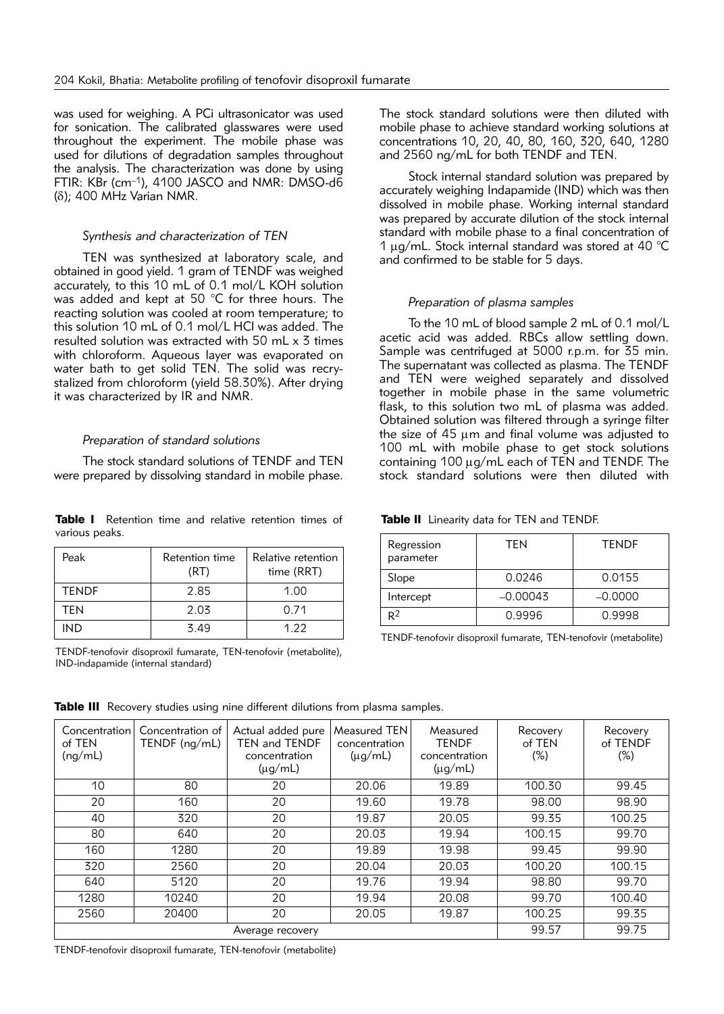was used for weighing. A PCi ultrasonicator was used for sonication. The calibrated glasswares were used throughout the experiment. The mobile phase was used for dilutions of degradation samples throughout the analysis. The characterization was done by using FTIR: KBr (cm–1), 4100 JASCO and NMR: DMSO-d6  $(δ)$ : 400 MHz Varian NMR.

#### *Synthesis and characterization of TEN*

TEN was synthesized at laboratory scale, and obtained in good yield. 1 gram of TENDF was weighed accurately, to this 10 mL of 0.1 mol/L KOH solution was added and kept at 50 °C for three hours. The reacting solution was cooled at room temperature; to this solution 10 mL of 0.1 mol/L HCl was added. The resulted solution was extracted with 50 mL x 3 times with chloroform. Aqueous layer was evaporated on water bath to get solid TEN. The solid was recrystalized from chloroform (yield 58.30%). After drying it was characterized by IR and NMR.

#### *Preparation of standard solutions*

The stock standard solutions of TENDF and TEN were prepared by dissolving standard in mobile phase.

Table I Retention time and relative retention times of various peaks.

| Peak  | Retention time<br>(RT) | Relative retention<br>time (RRT) |
|-------|------------------------|----------------------------------|
| TENDF | 2.85                   | 1.00                             |
| TEN   | 2.03                   | 0.71                             |
| IND   | 3.49                   | 1.22                             |

TENDF-tenofovir disoproxil fumarate, TEN-tenofovir (metabolite), IND-indapamide (internal standard)

The stock standard solutions were then diluted with mobile phase to achieve standard working solutions at concentrations 10, 20, 40, 80, 160, 320, 640, 1280 and 2560 ng/mL for both TENDF and TEN.

Stock internal standard solution was prepared by accurately weighing Indapamide (IND) which was then dissolved in mobile phase. Working internal standard was prepared by accurate dilution of the stock internal standard with mobile phase to a final concentration of 1  $\mu$ g/mL. Stock internal standard was stored at 40 °C and confirmed to be stable for 5 days.

#### *Preparation of plasma samples*

To the 10 mL of blood sample 2 mL of 0.1 mol/L acetic acid was added. RBCs allow settling down. Sample was centrifuged at 5000 r.p.m. for 35 min. The supernatant was collected as plasma. The TENDF and TEN were weighed separately and dissolved together in mobile phase in the same volumetric flask, to this solution two mL of plasma was added. Obtained solution was filtered through a syringe filter the size of  $45 \mu m$  and final volume was adjusted to 100 mL with mobile phase to get stock solutions containing  $100 \mu g/mL$  each of TEN and TENDF. The stock standard solutions were then diluted with

Table II Linearity data for TEN and TENDF.

| Regression<br>parameter | TFN        | <b>TENDE</b> |
|-------------------------|------------|--------------|
| Slope                   | 0.0246     | 0.0155       |
| Intercept               | $-0.00043$ | $-0.0000$    |
| ⊃2                      | 0.9996     | 0.9998       |

TENDF-tenofovir disoproxil fumarate, TEN-tenofovir (metabolite)

| Concentration I<br>of TEN<br>(ng/mL) | Concentration of<br>TENDF (ng/mL) | Actual added pure<br>TEN and TENDF<br>concentration<br>$(\mu g/mL)$ | Measured TEN<br>concentration<br>$(\mu q/mL)$ | Measured<br><b>TENDF</b><br>concentration<br>$(\mu g/mL)$ | Recovery<br>of TEN<br>$(\%)$ | Recovery<br>of TENDF<br>$(\%)$ |
|--------------------------------------|-----------------------------------|---------------------------------------------------------------------|-----------------------------------------------|-----------------------------------------------------------|------------------------------|--------------------------------|
| 10                                   | 80                                | 20                                                                  | 20.06                                         | 19.89                                                     | 100.30                       | 99.45                          |
| 20                                   | 160                               | 20                                                                  | 19.60                                         | 19.78                                                     | 98.00                        | 98.90                          |
| 40                                   | 320                               | 20                                                                  | 19.87                                         | 20.05                                                     | 99.35                        | 100.25                         |
| 80                                   | 640                               | 20                                                                  | 20.03                                         | 19.94                                                     | 100.15                       | 99.70                          |
| 160                                  | 1280                              | 20                                                                  | 19.89                                         | 19.98                                                     | 99.45                        | 99.90                          |
| 320                                  | 2560                              | 20                                                                  | 20.04                                         | 20.03                                                     | 100.20                       | 100.15                         |
| 640                                  | 5120                              | 20                                                                  | 19.76                                         | 19.94                                                     | 98.80                        | 99.70                          |
| 1280                                 | 10240                             | 20                                                                  | 19.94                                         | 20.08                                                     | 99.70                        | 100.40                         |
| 2560                                 | 20400                             | 20                                                                  | 20.05                                         | 19.87                                                     | 100.25                       | 99.35                          |
|                                      |                                   | Average recovery                                                    |                                               |                                                           | 99.57                        | 99.75                          |

**Table III** Recovery studies using nine different dilutions from plasma samples.

TENDF-tenofovir disoproxil fumarate, TEN-tenofovir (metabolite)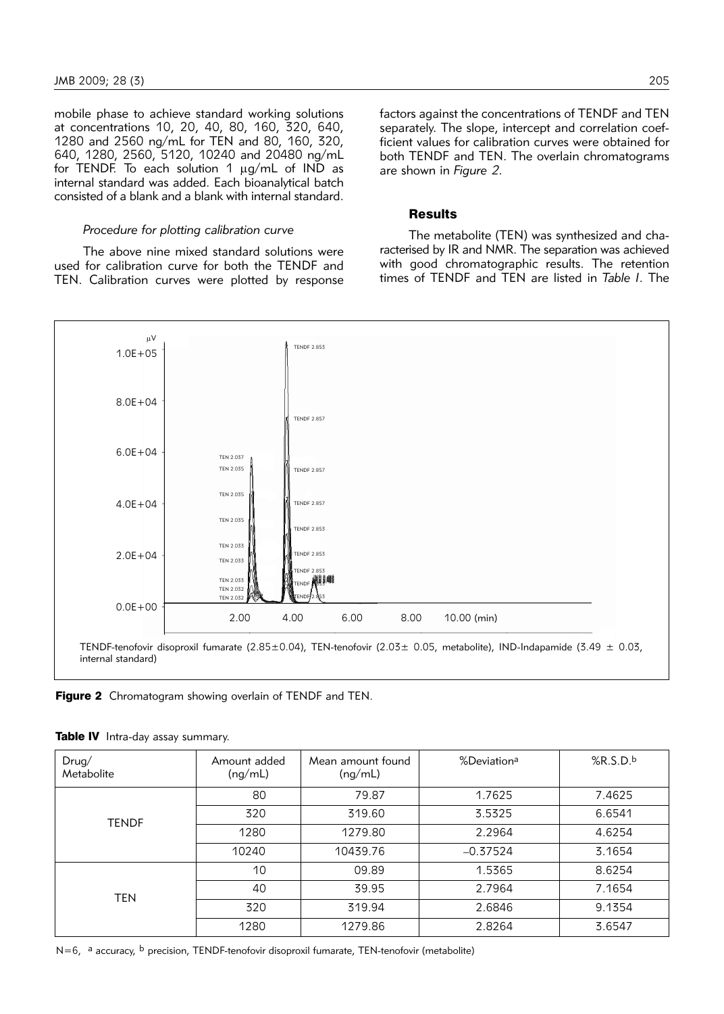mobile phase to achieve standard working solutions at concentrations 10, 20, 40, 80, 160, 320, 640, 1280 and 2560 ng/mL for TEN and 80, 160, 320, 640, 1280, 2560, 5120, 10240 and 20480 ng/mL for TENDF. To each solution 1  $\mu$ g/mL of IND as internal standard was added. Each bioanalytical batch consisted of a blank and a blank with internal standard.

*Procedure for plotting calibration curve*

The above nine mixed standard solutions were used for calibration curve for both the TENDF and TEN. Calibration curves were plotted by response factors against the concentrations of TENDF and TEN separately. The slope, intercept and correlation coefficient values for calibration curves were obtained for both TENDF and TEN. The overlain chromatograms are shown in *Figure 2*.

#### **Results**

The metabolite (TEN) was synthesized and characterised by IR and NMR. The separation was achieved with good chromatographic results. The retention times of TENDF and TEN are listed in *Table I*. The



Figure 2 Chromatogram showing overlain of TENDF and TEN.

|  | <b>Table IV</b> Intra-day assay summary |  |
|--|-----------------------------------------|--|
|--|-----------------------------------------|--|

| Drug/<br>Metabolite | Amount added<br>(ng/mL) | Mean amount found<br>(nq/mL) | %Deviation <sup>a</sup> | $%$ R.S.D. $b$ |
|---------------------|-------------------------|------------------------------|-------------------------|----------------|
| <b>TENDF</b>        | 80                      | 79.87                        | 1.7625                  | 7.4625         |
|                     | 320                     | 319.60                       | 3.5325                  | 6.6541         |
|                     | 1280                    | 1279.80                      | 2.2964                  | 4.6254         |
|                     | 10240                   | 10439.76                     | $-0.37524$              | 3.1654         |
|                     | 10                      | 09.89                        | 1.5365                  | 8.6254         |
| <b>TEN</b>          | 40                      | 39.95                        | 2.7964                  | 7.1654         |
|                     | 320                     | 319.94                       | 2.6846                  | 9.1354         |
|                     | 1280                    | 1279.86                      | 2.8264                  | 3.6547         |

 $N=6$ , a accuracy, b precision, TENDF-tenofovir disoproxil fumarate, TEN-tenofovir (metabolite)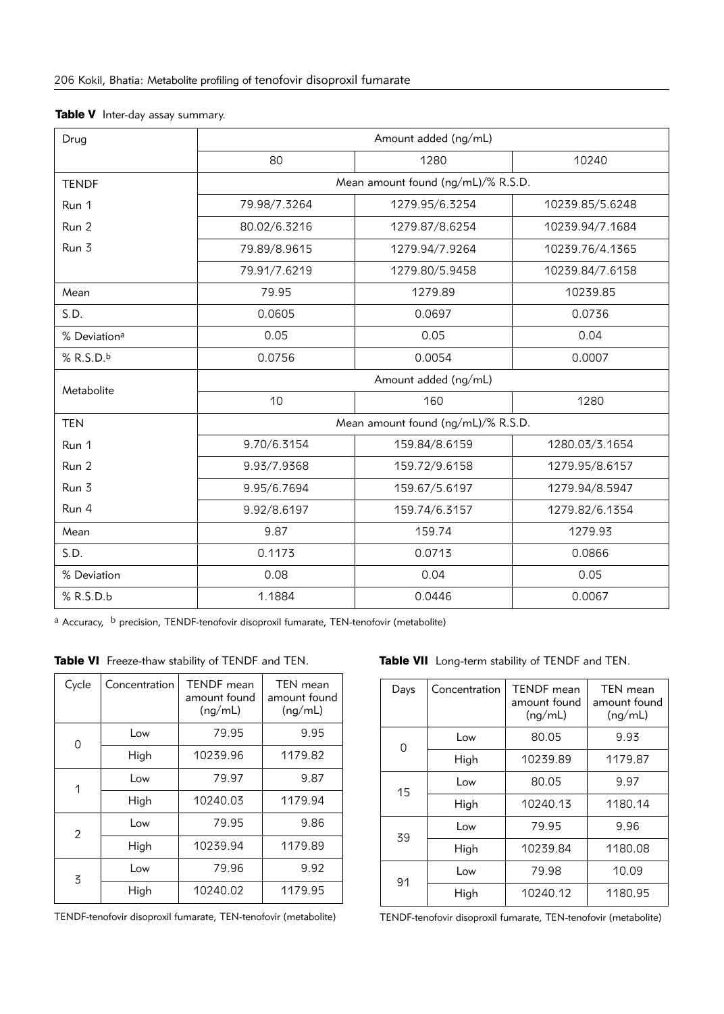| Drug                     | Amount added (ng/mL)               |                                    |                 |  |  |
|--------------------------|------------------------------------|------------------------------------|-----------------|--|--|
|                          | 80                                 | 1280                               | 10240           |  |  |
| <b>TENDF</b>             | Mean amount found (ng/mL)/% R.S.D. |                                    |                 |  |  |
| Run 1                    | 79.98/7.3264                       | 1279.95/6.3254                     | 10239.85/5.6248 |  |  |
| Run 2                    | 80.02/6.3216                       | 1279.87/8.6254                     | 10239.94/7.1684 |  |  |
| Run 3                    | 79.89/8.9615                       | 1279.94/7.9264                     | 10239.76/4.1365 |  |  |
|                          | 79.91/7.6219                       | 1279.80/5.9458                     | 10239.84/7.6158 |  |  |
| Mean                     | 79.95                              | 1279.89                            | 10239.85        |  |  |
| S.D.                     | 0.0605                             | 0.0697                             | 0.0736          |  |  |
| % Deviation <sup>a</sup> | 0.05                               | 0.05                               | 0.04            |  |  |
| $%$ R.S.D. <sup>b</sup>  | 0.0756                             | 0.0054                             | 0.0007          |  |  |
| Metabolite               | Amount added (ng/mL)               |                                    |                 |  |  |
|                          | 10                                 | 160                                | 1280            |  |  |
| <b>TEN</b>               |                                    | Mean amount found (ng/mL)/% R.S.D. |                 |  |  |
| Run 1                    | 9.70/6.3154                        | 159.84/8.6159                      | 1280.03/3.1654  |  |  |
| Run 2                    | 9.93/7.9368                        | 159.72/9.6158                      | 1279.95/8.6157  |  |  |
| Run 3                    | 9.95/6.7694                        | 159.67/5.6197                      | 1279.94/8.5947  |  |  |
| Run 4                    | 9.92/8.6197                        | 159.74/6.3157                      | 1279.82/6.1354  |  |  |
| Mean                     | 9.87                               | 159.74                             | 1279.93         |  |  |
| S.D.                     | 0.1173                             | 0.0713                             | 0.0866          |  |  |
| % Deviation              | 0.08                               | 0.04                               | 0.05            |  |  |
| % R.S.D.b                | 1.1884                             | 0.0446                             | 0.0067          |  |  |

Table V Inter-day assay summary.

<sup>a</sup> Accuracy, <sup>b</sup> precision, TENDF-tenofovir disoproxil fumarate, TEN-tenofovir (metabolite)

Table VI Freeze-thaw stability of TENDF and TEN.

| Cycle | Concentration | <b>TENDF</b> mean<br>amount found<br>(nq/mL) | TEN mean<br>amount found<br>(nq/mL) |
|-------|---------------|----------------------------------------------|-------------------------------------|
| 0     | Low           | 79.95                                        | 9.95                                |
|       | High          | 10239.96                                     | 1179.82                             |
| 1     | Low           | 79.97                                        | 9.87                                |
|       | High          | 10240.03                                     | 1179.94                             |
| 2     | Low           | 79.95                                        | 9.86                                |
|       | High          | 10239.94                                     | 1179.89                             |
| 3     | Low           | 79.96                                        | 9.92                                |
|       | High          | 10240.02                                     | 1179.95                             |

TENDF-tenofovir disoproxil fumarate, TEN-tenofovir (metabolite)

Table VII Long-term stability of TENDF and TEN.

| Days | Concentration | <b>TENDF</b> mean<br>amount found<br>(nq/mL) | TEN mean<br>amount found<br>(nq/mL) |
|------|---------------|----------------------------------------------|-------------------------------------|
| 0    | Low           | 80.05                                        | 9.93                                |
|      | High          | 10239.89                                     | 1179.87                             |
| 15   | Low           | 80.05                                        | 9.97                                |
|      | High          | 10240.13                                     | 1180.14                             |
| 39   | Low           | 79.95                                        | 9.96                                |
|      | High          | 10239.84                                     | 1180.08                             |
| 91   | Low           | 79.98                                        | 10.09                               |
|      | High          | 10240.12                                     | 1180.95                             |

TENDF-tenofovir disoproxil fumarate, TEN-tenofovir (metabolite)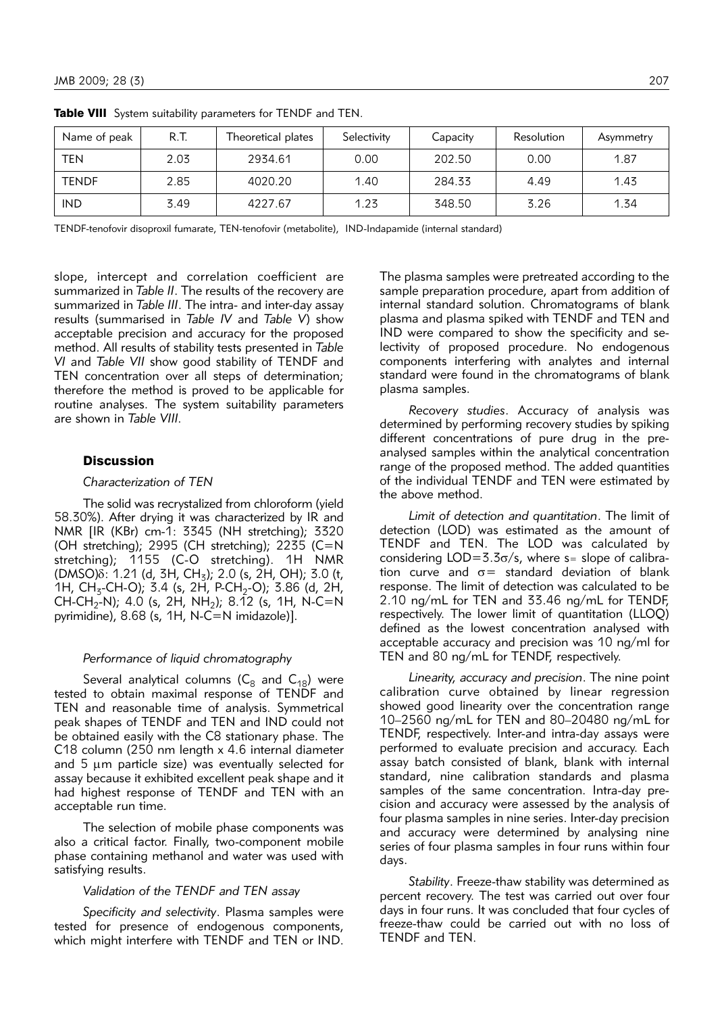| Name of peak | R.T. | Theoretical plates | Selectivity | Capacity | Resolution | Asymmetry |
|--------------|------|--------------------|-------------|----------|------------|-----------|
| TEN          | 2.03 | 2934.61            | 0.00        | 202.50   | 0.00       | 1.87      |
| <b>TENDF</b> | 2.85 | 4020.20            | 1.40        | 284.33   | 4.49       | 1.43      |
| <b>IND</b>   | 3.49 | 4227.67            | 1.23        | 348.50   | 3.26       | 1.34      |

Table VIII System suitability parameters for TENDF and TEN.

TENDF-tenofovir disoproxil fumarate, TEN-tenofovir (metabolite), IND-Indapamide (internal standard)

slope, intercept and correlation coefficient are summarized in *Table II*. The results of the recovery are summarized in *Table III*. The intra- and inter-day assay results (summarised in *Table IV* and *Table V*) show acceptable precision and accuracy for the proposed method. All results of stability tests presented in Table *VI* and *Table VII* show good stability of TENDF and TEN concentration over all steps of determination; therefore the method is proved to be applicable for routine analyses. The system suitability parameters are shown in *Table VIII.*

## **Discussion**

#### *Characterization of TEN*

The solid was recrystalized from chloroform (yield 58.30%). After drying it was characterized by IR and NMR [IR (KBr) cm-1: 3345 (NH stretching); 3320 (OH stretching); 2995 (CH stretching); 2235 (C=N stretching); 1155 (C-O stretching). 1H NMR (DMSO) $\delta$ : 1.21 (d, 3H, CH<sub>3</sub>); 2.0 (s, 2H, OH); 3.0 (t,<br>1H, CH<sub>3</sub>-CH-O); 3.4 (s, 2H, P-CH<sub>2</sub>-O); 3.86 (d, 2H, CH-CH<sub>2</sub>-N); 4.0 (s, 2H, NH<sub>2</sub>); 8.12 (s, 1H, N-C=N pyrimidine),  $8.68$  (s,  $1H$ , N-C=N imidazole)].

### *Performance of liquid chromatography*

Several analytical columns ( $C_8$  and  $C_{18}$ ) were tested to obtain maximal response of TENDF and TEN and reasonable time of analysis. Symmetrical peak shapes of TENDF and TEN and IND could not be obtained easily with the C8 stationary phase. The C18 column (250 nm length x 4.6 internal diameter and 5 um particle size) was eventually selected for assay because it exhibited excellent peak shape and it had highest response of TENDF and TEN with an acceptable run time.

The selection of mobile phase components was also a critical factor. Finally, two-component mobile phase containing methanol and water was used with satisfying results.

#### *Validation of the TENDF and TEN assay*

*Specificity and selectivity*. Plasma samples were tested for presence of endogenous components, which might interfere with TENDF and TEN or IND. The plasma samples were pretreated according to the sample preparation procedure, apart from addition of internal standard solution. Chromatograms of blank plasma and plasma spiked with TENDF and TEN and IND were compared to show the specificity and selectivity of proposed procedure. No endogenous components interfering with analytes and internal standard were found in the chromatograms of blank plasma samples.

*Recovery studies*. Accuracy of analysis was determined by performing recovery studies by spiking different concentrations of pure drug in the preanalysed samples within the analytical concentration range of the proposed method. The added quantities of the individual TENDF and TEN were estimated by the above method.

*Limit of detection and quantitation*. The limit of detection (LOD) was estimated as the amount of TENDF and TEN. The LOD was calculated by considering  $LOD=3.3\sigma/s$ , where s= slope of calibration curve and  $\sigma$  standard deviation of blank response. The limit of detection was calculated to be 2.10 ng/mL for TEN and 33.46 ng/mL for TENDF, respectively. The lower limit of quantitation (LLOQ) defined as the lowest concentration analysed with acceptable accuracy and precision was 10 ng/ml for TEN and 80 ng/mL for TENDF, respectively.

*Linearity, accuracy and precision*. The nine point calibration curve obtained by linear regression showed good linearity over the concentration range 10–2560 ng/mL for TEN and 80–20480 ng/mL for TENDF, respectively. Inter-and intra-day assays were performed to evaluate precision and accuracy. Each assay batch consisted of blank, blank with internal standard, nine calibration standards and plasma samples of the same concentration. Intra-day precision and accuracy were assessed by the analysis of four plasma samples in nine series. Inter-day precision and accuracy were determined by analysing nine series of four plasma samples in four runs within four days.

*Stability*. Freeze-thaw stability was determined as percent recovery. The test was carried out over four days in four runs. It was concluded that four cycles of freeze-thaw could be carried out with no loss of TENDF and TEN.